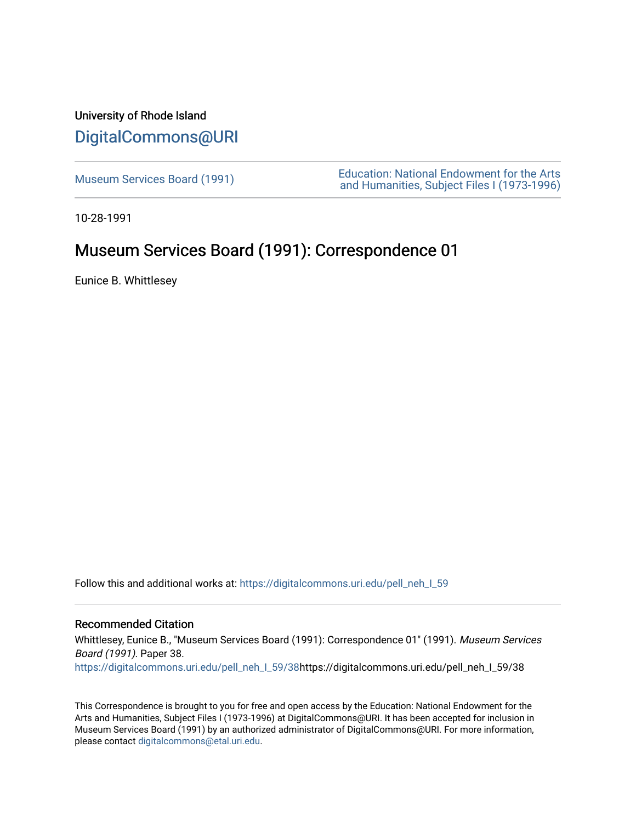## University of Rhode Island [DigitalCommons@URI](https://digitalcommons.uri.edu/)

Museum Services Board (1991)<br>
Museum Services Board (1991)<br>
And Uumenities Subject Files (1973,1996) [and Humanities, Subject Files I \(1973-1996\)](https://digitalcommons.uri.edu/pell_neh_I) 

10-28-1991

## Museum Services Board (1991): Correspondence 01

Eunice B. Whittlesey

Follow this and additional works at: https://digitalcommons.uri.edu/pell\_neh\_I\_59

## Recommended Citation

Whittlesey, Eunice B., "Museum Services Board (1991): Correspondence 01" (1991). Museum Services Board (1991). Paper 38.

[https://digitalcommons.uri.edu/pell\\_neh\\_I\\_59/38h](https://digitalcommons.uri.edu/pell_neh_I_59/38?utm_source=digitalcommons.uri.edu%2Fpell_neh_I_59%2F38&utm_medium=PDF&utm_campaign=PDFCoverPages)ttps://digitalcommons.uri.edu/pell\_neh\_I\_59/38

This Correspondence is brought to you for free and open access by the Education: National Endowment for the Arts and Humanities, Subject Files I (1973-1996) at DigitalCommons@URI. It has been accepted for inclusion in Museum Services Board (1991) by an authorized administrator of DigitalCommons@URI. For more information, please contact [digitalcommons@etal.uri.edu.](mailto:digitalcommons@etal.uri.edu)